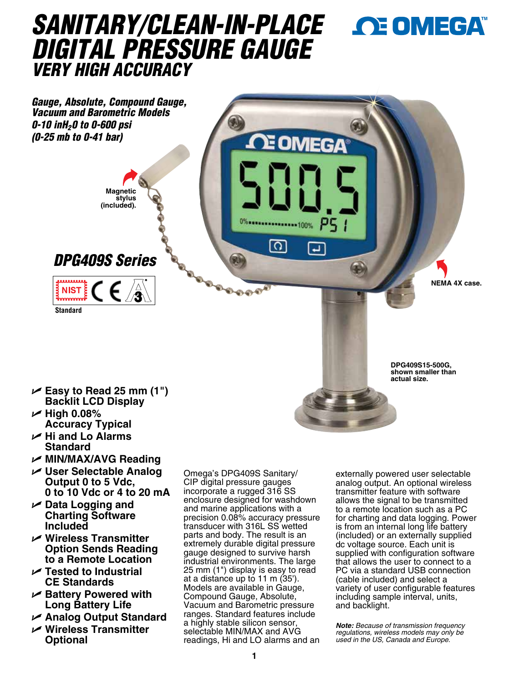# *SANITARY/CLEAN-IN-PLACE DIGITAL PRESSURE GAUGE VERY HIGH ACCURACY*



U **Easy to Read 25 mm (1") Backlit LCD Display**

- U **High 0.08% Accuracy Typical**
- U **Hi and Lo Alarms Standard**
- U **MIN/MAX/AVG Reading**
- U **User Selectable Analog Output 0 to 5 Vdc, 0 to 10 Vdc or 4 to 20 mA**
- U **Data Logging and Charting Software Included**
- U **Wireless Transmitter Option Sends Reading to a Remote Location**
- U **Tested to Industrial CE Standards**
- U **Battery Powered with Long Battery Life**
- U **Analog Output Standard**
- U **Wireless Transmitter Optional**

Omega's DPG409S Sanitary/ CIP digital pressure gauges incorporate a rugged 316 SS enclosure designed for washdown and marine applications with a precision 0.08% accuracy pressure transducer with 316L SS wetted parts and body. The result is an extremely durable digital pressure gauge designed to survive harsh industrial environments. The large 25 mm (1") display is easy to read at a distance up to 11 m (35'). Models are available in Gauge, Compound Gauge, Absolute, Vacuum and Barometric pressure ranges. Standard features include a highly stable silicon sensor, selectable MIN/MAX and AVG readings, Hi and LO alarms and an externally powered user selectable analog output. An optional wireless transmitter feature with software allows the signal to be transmitted to a remote location such as a PC for charting and data logging. Power is from an internal long life battery (included) or an externally supplied dc voltage source. Each unit is supplied with configuration software that allows the user to connect to a PC via a standard USB connection (cable included) and select a variety of user configurable features including sample interval, units, and backlight.

**DPG409S15-500G, shown smaller than actual size.**

*Note: Because of transmission frequency regulations, wireless models may only be used in the US, Canada and Europe.*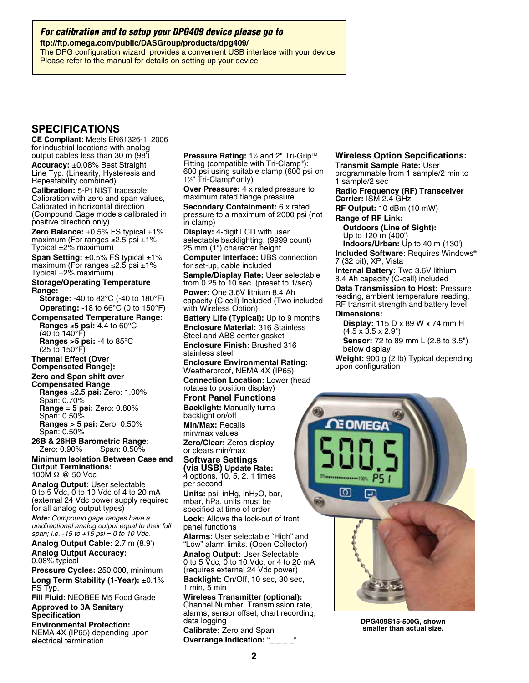*For calibration and to setup your DPG409 device please go to*

**ftp://ftp.omega.com/public/DASGroup/products/dpg409/** The DPG configuration wizard provides a convenient USB interface with your device. Please refer to the manual for details on setting up your device.

# **SPECIFICATIONS**

**CE Compliant:** Meets EN61326-1: 2006 for industrial locations with analog output cables less than 30 m (98')

**Accuracy:** ±0.08% Best Straight Line Typ. (Linearity, Hysteresis and Repeatability combined)

**Calibration:** 5-Pt NIST traceable Calibration with zero and span values, Calibrated in horizontal direction (Compound Gage models calibrated in positive direction only)

**Zero Balance:** ±0.5% FS typical ±1% maximum (For ranges ≤2.5 psi ±1% Typical  $\pm 2\%$  maximum)

**Span Setting:** ±0.5% FS typical ±1% maximum (For ranges ≤2.5 psi  $±1\%$ Typical  $\pm 2\%$  maximum)

#### **Storage/Operating Temperature Range:**

**Storage:** -40 to 82°C (-40 to 180°F) **Operating:** -18 to 66°C (0 to 150°F)

**Compensated Temperature Range: Ranges** ≤**5 psi:** 4.4 to 60°C (40 to 140°F) **Ranges >5 psi:** -4 to 85°C

(25 to 150°F)

#### **Thermal Effect (Over Compensated Range):**

## **Zero and Span shift over**

**Compensated Range Ranges** ≤**2.5 psi:** Zero: 1.00% Span: 0.70% **Range = 5 psi:** Zero: 0.80% Span: 0.50%

**Ranges > 5 psi:** Zero: 0.50% Span: 0.50%

**26B & 26HB Barometric Range:** Zero: 0.90% Span: 0.50%

**Minimum Isolation Between Case and Output Terminations:** 100M Ω @ 50 Vdc

**Analog Output:** User selectable 0 to 5 Vdc, 0 to 10 Vdc of 4 to 20 mA (external 24 Vdc power supply required for all analog output types)

*Note: Compound gage ranges have a unidirectional analog output equal to their full span; i.e. -15 to +15 psi = 0 to 10 Vdc.*

**Analog Output Cable:** 2.7 m (8.9') **Analog Output Accuracy:** 0.08% typical

**Pressure Cycles:** 250,000, minimum **Long Term Stability (1-Year):** ±0.1% FS Typ.

**Fill Fluid:** NEOBEE M5 Food Grade **Approved to 3A Sanitary Specification**

**Environmental Protection:** NEMA 4X (IP65) depending upon electrical termination

**Pressure Rating: 1½ and 2" Tri-Grip™** Fitting (compatible with Tri-Clamp®): 600 psi using suitable clamp (600 psi on 11 ⁄2" Tri-Clamp® only)

**Over Pressure:** 4 x rated pressure to maximum rated flange pressure **Secondary Containment:** 6 x rated pressure to a maximum of 2000 psi (not in clamp)

**Display:** 4-digit LCD with user selectable backlighting, (9999 count) 25 mm (1") character height

**Computer Interface:** UBS connection for set-up, cable included

**Sample/Display Rate:** User selectable from 0.25 to 10 sec. (preset to 1/sec)

**Power:** One 3.6V lithium 8.4 Ah capacity (C cell) Included (Two included with Wireless Option)

**Battery Life (Typical):** Up to 9 months **Enclosure Material:** 316 Stainless Steel and ABS center gasket

**Enclosure Finish:** Brushed 316 stainless steel

**Enclosure Environmental Rating:** Weatherproof, NEMA 4X (IP65) **Connection Location:** Lower (head rotates to position display)

## **Front Panel Functions**

**Backlight:** Manually turns backlight on/off **Min/Max:** Recalls min/max values

**Zero/Clear:** Zeros display or clears min/max

**Software Settings (via USB) Update Rate:** 4 options, 10, 5, 2, 1 times per second

**Units:** psi, inHg, inH<sub>2</sub>O, bar, mbar, hPa, units must be specified at time of order

**Lock:** Allows the lock-out of front panel functions

**Alarms:** User selectable "High" and "Low" alarm limits. (Open Collector) **Analog Output:** User Selectable 0 to 5 Vdc, 0 to 10 Vdc, or 4 to 20 mA (requires external 24 Vdc power) **Backlight:** On/Off, 10 sec, 30 sec, 1 min, 5 min

**Wireless Transmitter (optional):** Channel Number, Transmission rate, alarms, sensor offset, chart recording, data logging **Calibrate:** Zero and Span

**Overrange Indication: "\_\_\_\_"** 

# **Wireless Option Sepcifications:**

**Transmit Sample Rate:** User

programmable from 1 sample/2 min to 1 sample/2 sec

**Radio Frequency (RF) Transceiver Carrier:** ISM 2.4 GHz

**RF Output:** 10 dBm (10 mW)

**Range of RF Link: Outdoors (Line of Sight):**

Up to 120 m (400') **Indoors/Urban:** Up to 40 m (130')

**Included Software:** Requires Windows® 7 (32 bit); XP, Vista

**Internal Battery:** Two 3.6V lithium 8.4 Ah capacity (C-cell) included **Data Transmission to Host:** Pressure reading, ambient temperature reading, RF transmit strength and battery level **Dimensions:**

**Display:** 115 D x 89 W x 74 mm H (4.5 x 3.5 x 2.9")

**Sensor:** 72 to 89 mm L (2.8 to 3.5") below display

**Weight:** 900 g (2 lb) Typical depending upon configuration



**DPG409S15-500G, shown smaller than actual size.**